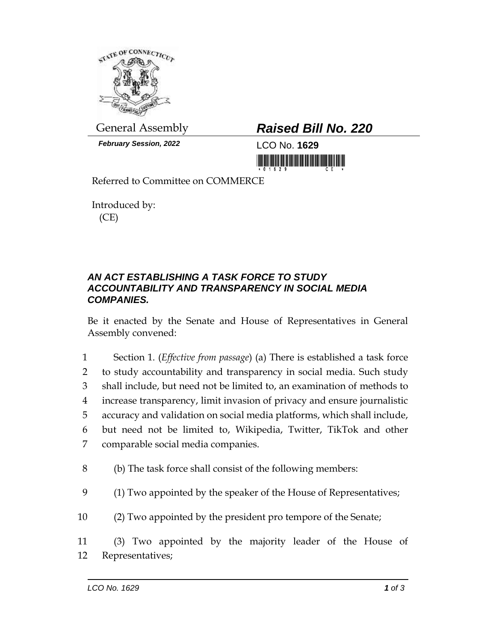

*February Session, 2022* LCO No. **1629**

## General Assembly *Raised Bill No. 220*

<u> 1999 - Andrew Maria Maria Maria Maria Maria Maria Maria Maria Maria Maria Maria Maria Maria Maria Maria Mari</u>

Referred to Committee on COMMERCE

Introduced by: (CE)

## *AN ACT ESTABLISHING A TASK FORCE TO STUDY ACCOUNTABILITY AND TRANSPARENCY IN SOCIAL MEDIA COMPANIES.*

Be it enacted by the Senate and House of Representatives in General Assembly convened:

 Section 1. (*Effective from passage*) (a) There is established a task force to study accountability and transparency in social media. Such study shall include, but need not be limited to, an examination of methods to increase transparency, limit invasion of privacy and ensure journalistic accuracy and validation on social media platforms, which shall include, but need not be limited to, Wikipedia, Twitter, TikTok and other comparable social media companies.

- 8 (b) The task force shall consist of the following members:
- 9 (1) Two appointed by the speaker of the House of Representatives;
- 10 (2) Two appointed by the president pro tempore of the Senate;

11 (3) Two appointed by the majority leader of the House of 12 Representatives;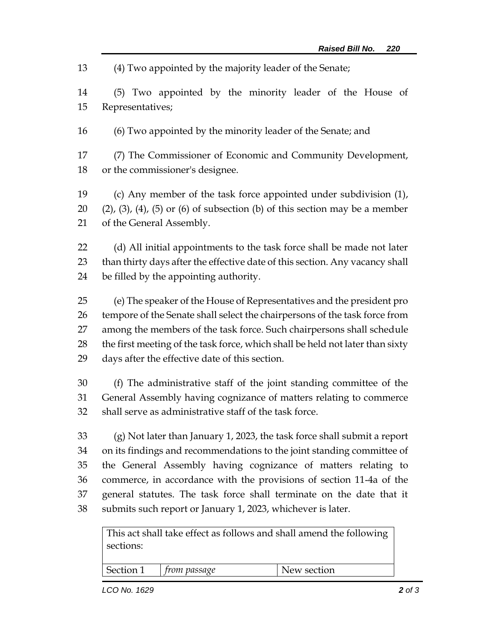(4) Two appointed by the majority leader of the Senate;

 (5) Two appointed by the minority leader of the House of Representatives;

(6) Two appointed by the minority leader of the Senate; and

 (7) The Commissioner of Economic and Community Development, or the commissioner's designee.

 (c) Any member of the task force appointed under subdivision (1), 20  $(2)$ ,  $(3)$ ,  $(4)$ ,  $(5)$  or  $(6)$  of subsection  $(b)$  of this section may be a member of the General Assembly.

 (d) All initial appointments to the task force shall be made not later than thirty days after the effective date of this section. Any vacancy shall be filled by the appointing authority.

 (e) The speaker of the House of Representatives and the president pro tempore of the Senate shall select the chairpersons of the task force from among the members of the task force. Such chairpersons shall schedule the first meeting of the task force, which shall be held not later than sixty days after the effective date of this section.

 (f) The administrative staff of the joint standing committee of the General Assembly having cognizance of matters relating to commerce shall serve as administrative staff of the task force.

 (g) Not later than January 1, 2023, the task force shall submit a report on its findings and recommendations to the joint standing committee of the General Assembly having cognizance of matters relating to commerce, in accordance with the provisions of section 11-4a of the general statutes. The task force shall terminate on the date that it submits such report or January 1, 2023, whichever is later.

This act shall take effect as follows and shall amend the following sections:

Section 1 *from passage* New section